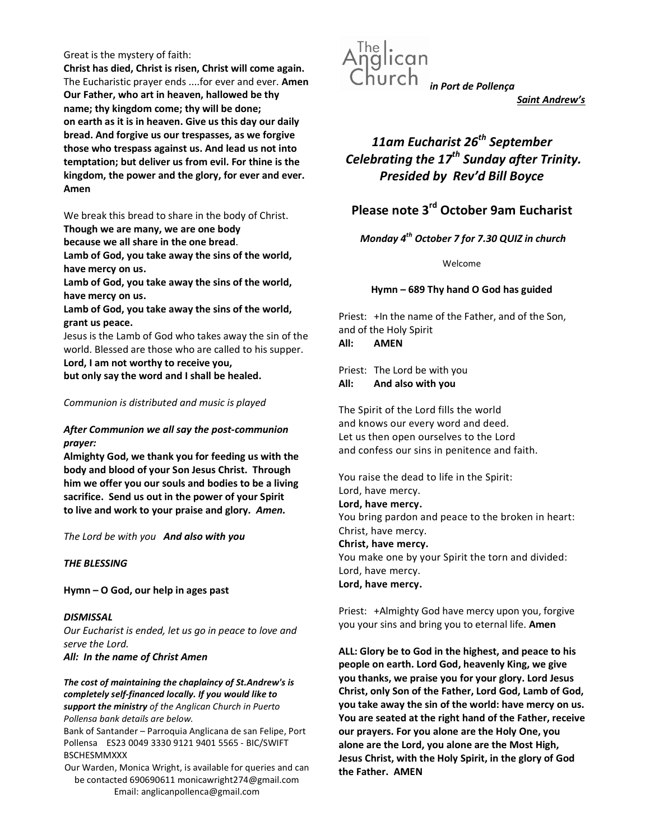#### Great is the mystery of faith:

Christ has died, Christ is risen, Christ will come again. The Eucharistic prayer ends ....for ever and ever. Amen Our Father, who art in heaven, hallowed be thy name; thy kingdom come; thy will be done; on earth as it is in heaven. Give us this day our daily bread. And forgive us our trespasses, as we forgive those who trespass against us. And lead us not into temptation; but deliver us from evil. For thine is the kingdom, the power and the glory, for ever and ever. Amen

We break this bread to share in the body of Christ.

Though we are many, we are one body

because we all share in the one bread.

Lamb of God, you take away the sins of the world, have mercy on us.

Lamb of God, you take away the sins of the world, have mercy on us.

Lamb of God, you take away the sins of the world, grant us peace.

Jesus is the Lamb of God who takes away the sin of the world. Blessed are those who are called to his supper. Lord, I am not worthy to receive you,

but only say the word and I shall be healed.

# Communion is distributed and music is played

# After Communion we all say the post-communion prayer:

Almighty God, we thank you for feeding us with the body and blood of your Son Jesus Christ. Through him we offer you our souls and bodies to be a living sacrifice. Send us out in the power of your Spirit to live and work to your praise and glory. Amen.

The Lord be with you And also with you

# THE BLESSING

Hymn – O God, our help in ages past

**DISMISSAL** Our Eucharist is ended, let us go in peace to love and serve the Lord. All: In the name of Christ Amen

The cost of maintaining the chaplaincy of St.Andrew's is completely self-financed locally. If you would like to support the ministry of the Anglican Church in Puerto Pollensa bank details are below.

Bank of Santander – Parroquia Anglicana de san Felipe, Port Pollensa ES23 0049 3330 9121 9401 5565 - BIC/SWIFT BSCHESMMXXX

Our Warden, Monica Wright, is available for queries and can be contacted 690690611 monicawright274@gmail.com Email: anglicanpollenca@gmail.com



Saint Andrew's

# 11am Eucharist 26<sup>th</sup> September Celebrating the  $17<sup>th</sup>$  Sunday after Trinity. Presided by Rev'd Bill Boyce

# Please note 3rd October 9am Eucharist

Monday  $4^{th}$  October 7 for 7.30 QUIZ in church

Welcome

# Hymn – 689 Thy hand O God has guided

Priest: +In the name of the Father, and of the Son, and of the Holy Spirit All: AMEN

Priest: The Lord be with you All: And also with you

The Spirit of the Lord fills the world and knows our every word and deed. Let us then open ourselves to the Lord and confess our sins in penitence and faith.

You raise the dead to life in the Spirit: Lord, have mercy. Lord, have mercy. You bring pardon and peace to the broken in heart: Christ, have mercy. Christ, have mercy. You make one by your Spirit the torn and divided: Lord, have mercy. Lord, have mercy.

Priest: +Almighty God have mercy upon you, forgive you your sins and bring you to eternal life. Amen

ALL: Glory be to God in the highest, and peace to his people on earth. Lord God, heavenly King, we give you thanks, we praise you for your glory. Lord Jesus Christ, only Son of the Father, Lord God, Lamb of God, you take away the sin of the world: have mercy on us. You are seated at the right hand of the Father, receive our prayers. For you alone are the Holy One, you alone are the Lord, you alone are the Most High, Jesus Christ, with the Holy Spirit, in the glory of God the Father. AMEN